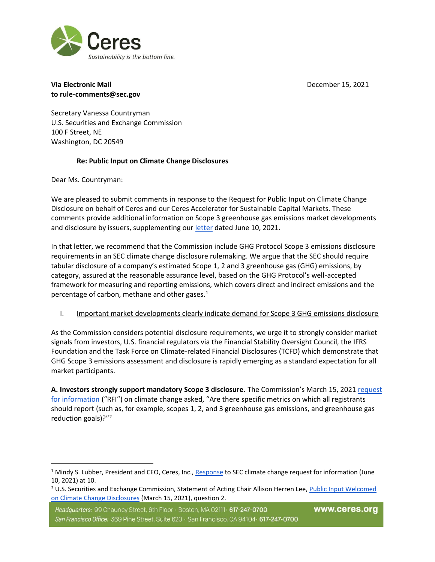

## **Via Electronic Mail** December 15, 2021 **to rule-comments@sec.gov**

Secretary Vanessa Countryman U.S. Securities and Exchange Commission 100 F Street, NE Washington, DC 20549

## **Re: Public Input on Climate Change Disclosures**

Dear Ms. Countryman:

We are pleased to submit comments in response to the Request for Public Input on Climate Change Disclosure on behalf of Ceres and our Ceres Accelerator for Sustainable Capital Markets. These comments provide additional information on Scope 3 greenhouse gas emissions market developments and disclosure by issuers, supplementing our letter dated June 10, 2021.

In that letter, we recommend that the Commission include GHG Protocol Scope 3 emissions disclosure requirements in an SEC climate change disclosure rulemaking. We argue that the SEC should require tabular disclosure of a company's estimated Scope 1, 2 and 3 greenhouse gas (GHG) emissions, by category, assured at the reasonable assurance level, based on the GHG Protocol's well-accepted framework for measuring and reporting emissions, which covers direct and indirect emissions and the percentage of carbon, methane and other gases. $<sup>1</sup>$ </sup>

I. Important market developments clearly indicate demand for Scope 3 GHG emissions disclosure

As the Commission considers potential disclosure requirements, we urge it to strongly consider market signals from investors, U.S. financial regulators via the Financial Stability Oversight Council, the IFRS Foundation and the Task Force on Climate-related Financial Disclosures (TCFD) which demonstrate that GHG Scope 3 emissions assessment and disclosure is rapidly emerging as a standard expectation for all market participants.

**A. Investors strongly support mandatory Scope 3 disclosure.** The Commission's March 15, 2021 request for information ("RFI") on climate change asked, "Are there specific metrics on which all registrants should report (such as, for example, scopes 1, 2, and 3 greenhouse gas emissions, and greenhouse gas reduction goals)?"<sup>2</sup>

<sup>&</sup>lt;sup>1</sup> Mindy S. Lubber, President and CEO, Ceres, Inc., Response to SEC climate change request for information (June 10, 2021) at 10.

<sup>&</sup>lt;sup>2</sup> U.S. Securities and Exchange Commission, Statement of Acting Chair Allison Herren Lee, Public Input Welcomed on Climate Change Disclosures (March 15, 2021), question 2.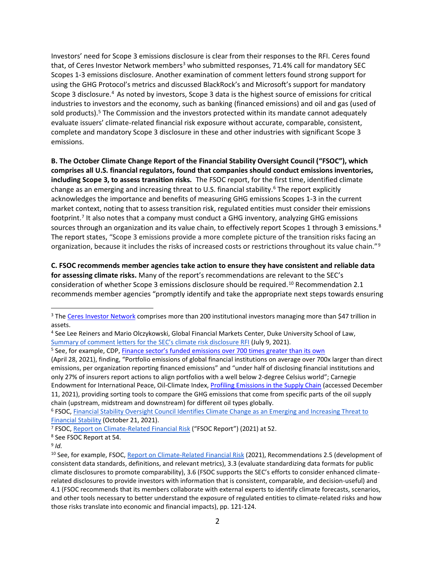Investors' need for Scope 3 emissions disclosure is clear from their responses to the RFI. Ceres found that, of Ceres Investor Network members<sup>3</sup> who submitted responses, 71.4% call for mandatory SEC Scopes 1-3 emissions disclosure. Another examination of comment letters found strong support for using the GHG Protocol's metrics and discussed BlackRock's and Microsoft's support for mandatory Scope 3 disclosure.<sup>4</sup> As noted by investors, Scope 3 data is the highest source of emissions for critical industries to investors and the economy, such as banking (financed emissions) and oil and gas (used of sold products).<sup>5</sup> The Commission and the investors protected within its mandate cannot adequately evaluate issuers' climate-related financial risk exposure without accurate, comparable, consistent, complete and mandatory Scope 3 disclosure in these and other industries with significant Scope 3 emissions.

**B. The October Climate Change Report of the Financial Stability Oversight Council ("FSOC"), which comprises all U.S. financial regulators, found that companies should conduct emissions inventories, including Scope 3, to assess transition risks.** The FSOC report, for the first time, identified climate change as an emerging and increasing threat to U.S. financial stability.<sup>6</sup> The report explicitly acknowledges the importance and benefits of measuring GHG emissions Scopes 1-3 in the current market context, noting that to assess transition risk, regulated entities must consider their emissions footprint.<sup>7</sup> It also notes that a company must conduct a GHG inventory, analyzing GHG emissions sources through an organization and its value chain, to effectively report Scopes 1 through 3 emissions.<sup>8</sup> The report states, "Scope 3 emissions provide a more complete picture of the transition risks facing an organization, because it includes the risks of increased costs or restrictions throughout its value chain."<sup>9</sup>

**C. FSOC recommends member agencies take action to ensure they have consistent and reliable data for assessing climate risks.** Many of the report's recommendations are relevant to the SEC's consideration of whether Scope 3 emissions disclosure should be required.<sup>10</sup> Recommendation 2.1 recommends member agencies "promptly identify and take the appropriate next steps towards ensuring

<sup>&</sup>lt;sup>3</sup> The Ceres Investor Network comprises more than 200 institutional investors managing more than \$47 trillion in assets.

<sup>4</sup> See Lee Reiners and Mario Olczykowski, Global Financial Markets Center, Duke University School of Law, Summary of comment letters for the SEC's climate risk disclosure RFI (July 9, 2021).

<sup>&</sup>lt;sup>5</sup> See, for example, CDP, **Finance sector's funded emissions over 700 times greater than its own** 

<sup>(</sup>April 28, 2021), finding, "Portfolio emissions of global financial institutions on average over 700x larger than direct emissions, per organization reporting financed emissions" and "under half of disclosing financial institutions and only 27% of insurers report actions to align portfolios with a well below 2-degree Celsius world"; Carnegie Endowment for International Peace, Oil-Climate Index, Profiling Emissions in the Supply Chain (accessed December 11, 2021), providing sorting tools to compare the GHG emissions that come from specific parts of the oil supply chain (upstream, midstream and downstream) for different oil types globally.

<sup>6</sup> FSOC, Financial Stability Oversight Council Identifies Climate Change as an Emerging and Increasing Threat to Financial Stability (October 21, 2021).

<sup>7</sup> FSOC, Report on Climate-Related Financial Risk ("FSOC Report") (2021) at 52.

<sup>8</sup> See FSOC Report at 54.

<sup>9</sup> *Id.*

<sup>&</sup>lt;sup>10</sup> See, for example, FSOC, Report on Climate-Related Financial Risk (2021), Recommendations 2.5 (development of consistent data standards, definitions, and relevant metrics), 3.3 (evaluate standardizing data formats for public climate disclosures to promote comparability), 3.6 (FSOC supports the SEC's efforts to consider enhanced climaterelated disclosures to provide investors with information that is consistent, comparable, and decision-useful) and 4.1 (FSOC recommends that its members collaborate with external experts to identify climate forecasts, scenarios, and other tools necessary to better understand the exposure of regulated entities to climate-related risks and how those risks translate into economic and financial impacts), pp. 121-124.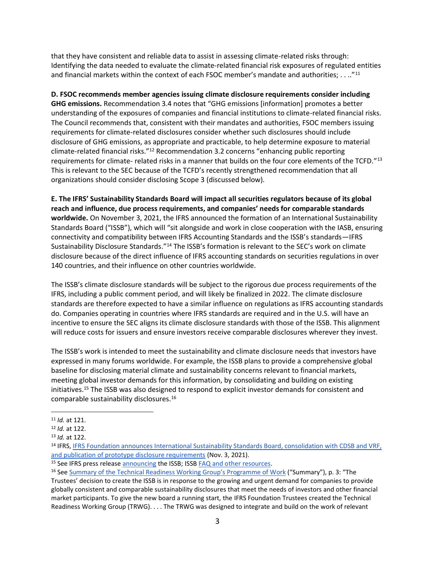that they have consistent and reliable data to assist in assessing climate-related risks through: Identifying the data needed to evaluate the climate-related financial risk exposures of regulated entities and financial markets within the context of each FSOC member's mandate and authorities; . . .."<sup>11</sup>

**D. FSOC recommends member agencies issuing climate disclosure requirements consider including GHG emissions.** Recommendation 3.4 notes that "GHG emissions [information] promotes a better understanding of the exposures of companies and financial institutions to climate-related financial risks. The Council recommends that, consistent with their mandates and authorities, FSOC members issuing requirements for climate-related disclosures consider whether such disclosures should include disclosure of GHG emissions, as appropriate and practicable, to help determine exposure to material climate-related financial risks."<sup>12</sup> Recommendation 3.2 concerns "enhancing public reporting requirements for climate- related risks in a manner that builds on the four core elements of the TCFD."<sup>13</sup> This is relevant to the SEC because of the TCFD's recently strengthened recommendation that all organizations should consider disclosing Scope 3 (discussed below).

**E. The IFRS' Sustainability Standards Board will impact all securities regulators because of its global reach and influence, due process requirements, and companies' needs for comparable standards worldwide.** On November 3, 2021, the IFRS announced the formation of an International Sustainability Standards Board ("ISSB"), which will "sit alongside and work in close cooperation with the IASB, ensuring connectivity and compatibility between IFRS Accounting Standards and the ISSB's standards—IFRS Sustainability Disclosure Standards."<sup>14</sup> The ISSB's formation is relevant to the SEC's work on climate disclosure because of the direct influence of IFRS accounting standards on securities regulations in over 140 countries, and their influence on other countries worldwide.

The ISSB's climate disclosure standards will be subject to the rigorous due process requirements of the IFRS, including a public comment period, and will likely be finalized in 2022. The climate disclosure standards are therefore expected to have a similar influence on regulations as IFRS accounting standards do. Companies operating in countries where IFRS standards are required and in the U.S. will have an incentive to ensure the SEC aligns its climate disclosure standards with those of the ISSB. This alignment will reduce costs for issuers and ensure investors receive comparable disclosures wherever they invest.

The ISSB's work is intended to meet the sustainability and climate disclosure needs that investors have expressed in many forums worldwide. For example, the ISSB plans to provide a comprehensive global baseline for disclosing material climate and sustainability concerns relevant to financial markets, meeting global investor demands for this information, by consolidating and building on existing initiatives.<sup>15</sup> The ISSB was also designed to respond to explicit investor demands for consistent and comparable sustainability disclosures.<sup>16</sup>

<sup>15</sup> See IFRS press release announcing the ISSB; ISSB FAQ and other resources.

<sup>11</sup> *Id.* at 121.

<sup>12</sup> *Id.* at 122.

<sup>13</sup> *Id.* at 122.

<sup>14</sup> IFRS, IFRS Foundation announces International Sustainability Standards Board, consolidation with CDSB and VRF, and publication of prototype disclosure requirements (Nov. 3, 2021).

<sup>&</sup>lt;sup>16</sup> See Summary of the Technical Readiness Working Group's Programme of Work ("Summary"), p. 3: "The Trustees' decision to create the ISSB is in response to the growing and urgent demand for companies to provide globally consistent and comparable sustainability disclosures that meet the needs of investors and other financial market participants. To give the new board a running start, the IFRS Foundation Trustees created the Technical Readiness Working Group (TRWG). . . . The TRWG was designed to integrate and build on the work of relevant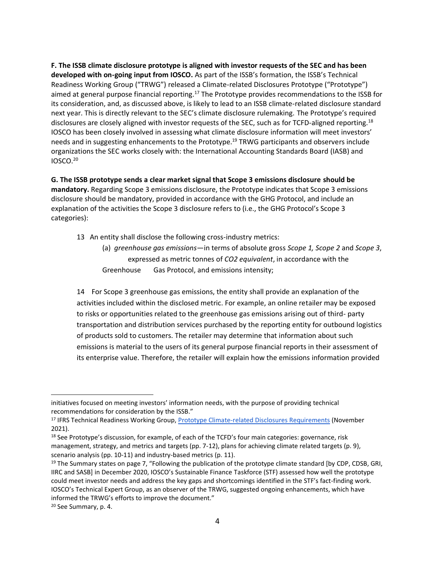**F. The ISSB climate disclosure prototype is aligned with investor requests of the SEC and has been developed with on-going input from IOSCO.** As part of the ISSB's formation, the ISSB's Technical Readiness Working Group ("TRWG") released a Climate-related Disclosures Prototype ("Prototype") aimed at general purpose financial reporting.<sup>17</sup> The Prototype provides recommendations to the ISSB for its consideration, and, as discussed above, is likely to lead to an ISSB climate-related disclosure standard next year. This is directly relevant to the SEC's climate disclosure rulemaking. The Prototype's required disclosures are closely aligned with investor requests of the SEC, such as for TCFD-aligned reporting.<sup>18</sup> IOSCO has been closely involved in assessing what climate disclosure information will meet investors' needs and in suggesting enhancements to the Prototype.<sup>19</sup> TRWG participants and observers include organizations the SEC works closely with: the International Accounting Standards Board (IASB) and IOSCO.<sup>20</sup>

**G. The ISSB prototype sends a clear market signal that Scope 3 emissions disclosure should be mandatory.** Regarding Scope 3 emissions disclosure, the Prototype indicates that Scope 3 emissions disclosure should be mandatory, provided in accordance with the GHG Protocol, and include an explanation of the activities the Scope 3 disclosure refers to (i.e., the GHG Protocol's Scope 3 categories):

- 13 An entity shall disclose the following cross-industry metrics:
	- (a) *greenhouse gas emissions*—in terms of absolute gross *Scope 1, Scope 2* and *Scope 3*, expressed as metric tonnes of *CO2 equivalent*, in accordance with the Greenhouse Gas Protocol, and emissions intensity;

14 For Scope 3 greenhouse gas emissions, the entity shall provide an explanation of the activities included within the disclosed metric. For example, an online retailer may be exposed to risks or opportunities related to the greenhouse gas emissions arising out of third- party transportation and distribution services purchased by the reporting entity for outbound logistics of products sold to customers. The retailer may determine that information about such emissions is material to the users of its general purpose financial reports in their assessment of its enterprise value. Therefore, the retailer will explain how the emissions information provided

initiatives focused on meeting investors' information needs, with the purpose of providing technical recommendations for consideration by the ISSB."

<sup>&</sup>lt;sup>17</sup> IFRS Technical Readiness Working Group, Prototype Climate-related Disclosures Requirements (November 2021).

<sup>&</sup>lt;sup>18</sup> See Prototype's discussion, for example, of each of the TCFD's four main categories: governance, risk management, strategy, and metrics and targets (pp. 7-12), plans for achieving climate related targets (p. 9), scenario analysis (pp. 10-11) and industry-based metrics (p. 11).

<sup>&</sup>lt;sup>19</sup> The Summary states on page 7, "Following the publication of the prototype climate standard [by CDP, CDSB, GRI, IIRC and SASB] in December 2020, IOSCO's Sustainable Finance Taskforce (STF) assessed how well the prototype could meet investor needs and address the key gaps and shortcomings identified in the STF's fact-finding work. IOSCO's Technical Expert Group, as an observer of the TRWG, suggested ongoing enhancements, which have informed the TRWG's efforts to improve the document."

<sup>20</sup> See Summary, p. 4.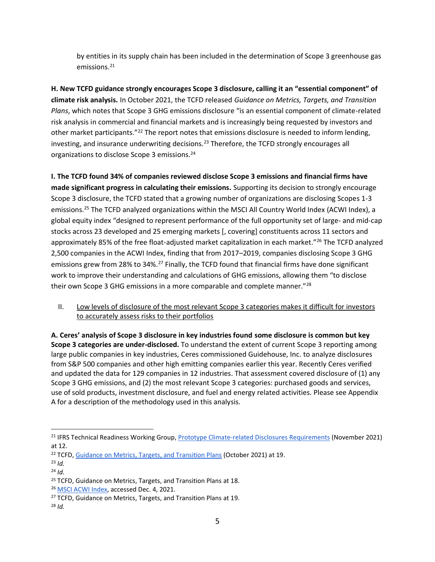by entities in its supply chain has been included in the determination of Scope 3 greenhouse gas emissions.<sup>21</sup>

**H. New TCFD guidance strongly encourages Scope 3 disclosure, calling it an "essential component" of climate risk analysis.** In October 2021, the TCFD released *Guidance on Metrics, Targets, and Transition Plans*, which notes that Scope 3 GHG emissions disclosure "is an essential component of climate-related risk analysis in commercial and financial markets and is increasingly being requested by investors and other market participants."<sup>22</sup> The report notes that emissions disclosure is needed to inform lending, investing, and insurance underwriting decisions.<sup>23</sup> Therefore, the TCFD strongly encourages all organizations to disclose Scope 3 emissions.<sup>24</sup>

**I. The TCFD found 34% of companies reviewed disclose Scope 3 emissions and financial firms have made significant progress in calculating their emissions.** Supporting its decision to strongly encourage Scope 3 disclosure, the TCFD stated that a growing number of organizations are disclosing Scopes 1-3 emissions.<sup>25</sup> The TCFD analyzed organizations within the MSCI All Country World Index (ACWI Index), a global equity index "designed to represent performance of the full opportunity set of large- and mid-cap stocks across 23 developed and 25 emerging markets [, covering] constituents across 11 sectors and approximately 85% of the free float-adjusted market capitalization in each market."<sup>26</sup> The TCFD analyzed 2,500 companies in the ACWI Index, finding that from 2017–2019, companies disclosing Scope 3 GHG emissions grew from 28% to 34%.<sup>27</sup> Finally, the TCFD found that financial firms have done significant work to improve their understanding and calculations of GHG emissions, allowing them "to disclose their own Scope 3 GHG emissions in a more comparable and complete manner."<sup>28</sup>

II. Low levels of disclosure of the most relevant Scope 3 categories makes it difficult for investors to accurately assess risks to their portfolios

**A. Ceres' analysis of Scope 3 disclosure in key industries found some disclosure is common but key Scope 3 categories are under-disclosed.** To understand the extent of current Scope 3 reporting among large public companies in key industries, Ceres commissioned Guidehouse, Inc. to analyze disclosures from S&P 500 companies and other high emitting companies earlier this year. Recently Ceres verified and updated the data for 129 companies in 12 industries. That assessment covered disclosure of (1) any Scope 3 GHG emissions, and (2) the most relevant Scope 3 categories: purchased goods and services, use of sold products, investment disclosure, and fuel and energy related activities. Please see Appendix A for a description of the methodology used in this analysis.

<sup>21</sup> IFRS Technical Readiness Working Group, Prototype Climate-related Disclosures Requirements (November 2021) at 12.

<sup>&</sup>lt;sup>22</sup> TCFD, Guidance on Metrics, Targets, and Transition Plans (October 2021) at 19.

<sup>23</sup> *Id.*

<sup>24</sup> *Id.*

<sup>&</sup>lt;sup>25</sup> TCFD, Guidance on Metrics, Targets, and Transition Plans at 18.

<sup>26</sup> MSCI ACWI Index, accessed Dec. 4, 2021.

<sup>&</sup>lt;sup>27</sup> TCFD, Guidance on Metrics, Targets, and Transition Plans at 19.

<sup>28</sup> *Id.*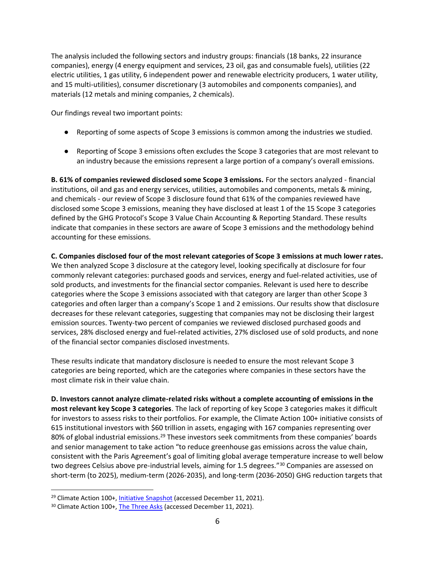The analysis included the following sectors and industry groups: financials (18 banks, 22 insurance companies), energy (4 energy equipment and services, 23 oil, gas and consumable fuels), utilities (22 electric utilities, 1 gas utility, 6 independent power and renewable electricity producers, 1 water utility, and 15 multi-utilities), consumer discretionary (3 automobiles and components companies), and materials (12 metals and mining companies, 2 chemicals).

Our findings reveal two important points:

- Reporting of some aspects of Scope 3 emissions is common among the industries we studied.
- Reporting of Scope 3 emissions often excludes the Scope 3 categories that are most relevant to an industry because the emissions represent a large portion of a company's overall emissions.

**B. 61% of companies reviewed disclosed some Scope 3 emissions.** For the sectors analyzed - financial institutions, oil and gas and energy services, utilities, automobiles and components, metals & mining, and chemicals - our review of Scope 3 disclosure found that 61% of the companies reviewed have disclosed some Scope 3 emissions, meaning they have disclosed at least 1 of the 15 Scope 3 categories defined by the GHG Protocol's Scope 3 Value Chain Accounting & Reporting Standard. These results indicate that companies in these sectors are aware of Scope 3 emissions and the methodology behind accounting for these emissions.

**C. Companies disclosed four of the most relevant categories of Scope 3 emissions at much lower rates.**  We then analyzed Scope 3 disclosure at the category level, looking specifically at disclosure for four commonly relevant categories: purchased goods and services, energy and fuel-related activities, use of sold products, and investments for the financial sector companies. Relevant is used here to describe categories where the Scope 3 emissions associated with that category are larger than other Scope 3 categories and often larger than a company's Scope 1 and 2 emissions. Our results show that disclosure decreases for these relevant categories, suggesting that companies may not be disclosing their largest emission sources. Twenty-two percent of companies we reviewed disclosed purchased goods and services, 28% disclosed energy and fuel-related activities, 27% disclosed use of sold products, and none of the financial sector companies disclosed investments.

These results indicate that mandatory disclosure is needed to ensure the most relevant Scope 3 categories are being reported, which are the categories where companies in these sectors have the most climate risk in their value chain.

**D. Investors cannot analyze climate-related risks without a complete accounting of emissions in the most relevant key Scope 3 categories**. The lack of reporting of key Scope 3 categories makes it difficult for investors to assess risks to their portfolios. For example, the Climate Action 100+ initiative consists of 615 institutional investors with \$60 trillion in assets, engaging with 167 companies representing over 80% of global industrial emissions.<sup>29</sup> These investors seek commitments from these companies' boards and senior management to take action "to reduce greenhouse gas emissions across the value chain, consistent with the Paris Agreement's goal of limiting global average temperature increase to well below two degrees Celsius above pre-industrial levels, aiming for 1.5 degrees."<sup>30</sup> Companies are assessed on short-term (to 2025), medium-term (2026-2035), and long-term (2036-2050) GHG reduction targets that

<sup>&</sup>lt;sup>29</sup> Climate Action 100+, Initiative Snapshot (accessed December 11, 2021).

<sup>&</sup>lt;sup>30</sup> Climate Action 100+, The Three Asks (accessed December 11, 2021).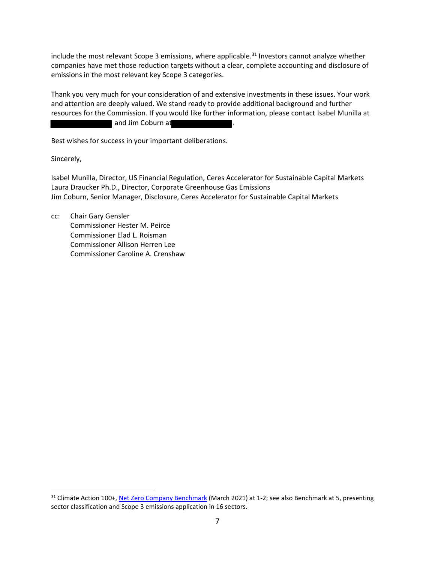include the most relevant Scope 3 emissions, where applicable.<sup>31</sup> Investors cannot analyze whether companies have met those reduction targets without a clear, complete accounting and disclosure of emissions in the most relevant key Scope 3 categories.

Thank you very much for your consideration of and extensive investments in these issues. Your work and attention are deeply valued. We stand ready to provide additional background and further resources for the Commission. If you would like further information, please contact Isabel Munilla at and Jim Coburn at

Best wishes for success in your important deliberations.

Sincerely,

Isabel Munilla, Director, US Financial Regulation, Ceres Accelerator for Sustainable Capital Markets Laura Draucker Ph.D., Director, Corporate Greenhouse Gas Emissions Jim Coburn, Senior Manager, Disclosure, Ceres Accelerator for Sustainable Capital Markets

cc: Chair Gary Gensler Commissioner Hester M. Peirce Commissioner Elad L. Roisman Commissioner Allison Herren Lee Commissioner Caroline A. Crenshaw

<sup>31</sup> Climate Action 100+, Net Zero Company Benchmark (March 2021) at 1-2; see also Benchmark at 5, presenting sector classification and Scope 3 emissions application in 16 sectors.